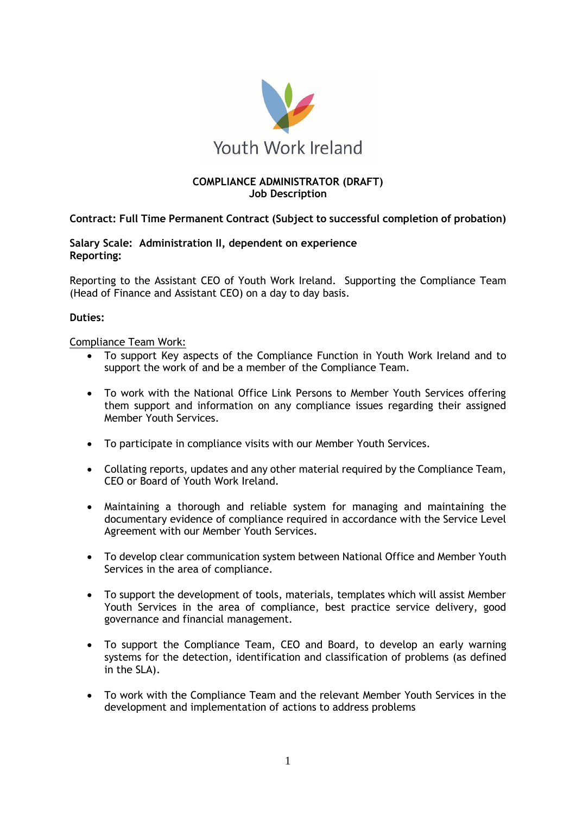

## **COMPLIANCE ADMINISTRATOR (DRAFT) Job Description**

**Contract: Full Time Permanent Contract (Subject to successful completion of probation)**

**Salary Scale: Administration II, dependent on experience Reporting:**

Reporting to the Assistant CEO of Youth Work Ireland. Supporting the Compliance Team (Head of Finance and Assistant CEO) on a day to day basis.

## **Duties:**

Compliance Team Work:

- To support Key aspects of the Compliance Function in Youth Work Ireland and to support the work of and be a member of the Compliance Team.
- To work with the National Office Link Persons to Member Youth Services offering them support and information on any compliance issues regarding their assigned Member Youth Services.
- To participate in compliance visits with our Member Youth Services.
- Collating reports, updates and any other material required by the Compliance Team, CEO or Board of Youth Work Ireland.
- Maintaining a thorough and reliable system for managing and maintaining the documentary evidence of compliance required in accordance with the Service Level Agreement with our Member Youth Services.
- To develop clear communication system between National Office and Member Youth Services in the area of compliance.
- To support the development of tools, materials, templates which will assist Member Youth Services in the area of compliance, best practice service delivery, good governance and financial management.
- To support the Compliance Team, CEO and Board, to develop an early warning systems for the detection, identification and classification of problems (as defined in the SLA).
- To work with the Compliance Team and the relevant Member Youth Services in the development and implementation of actions to address problems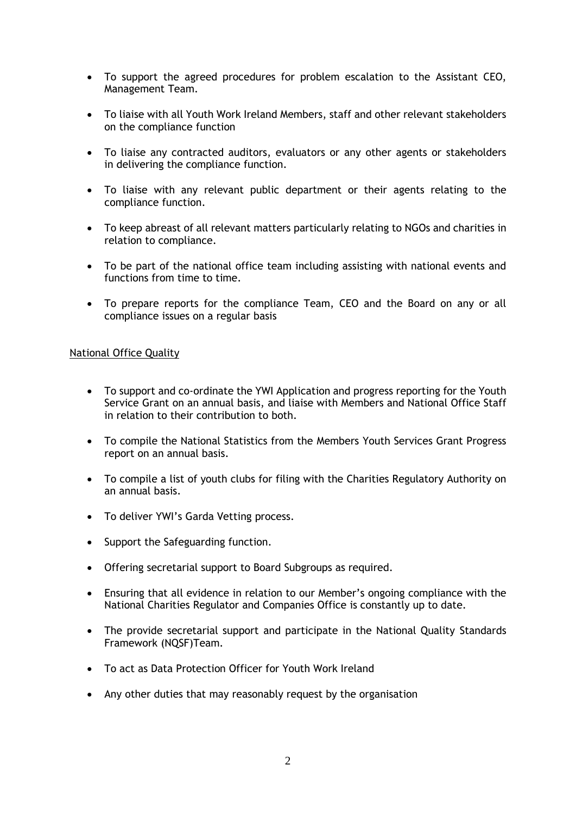- To support the agreed procedures for problem escalation to the Assistant CEO, Management Team.
- To liaise with all Youth Work Ireland Members, staff and other relevant stakeholders on the compliance function
- To liaise any contracted auditors, evaluators or any other agents or stakeholders in delivering the compliance function.
- To liaise with any relevant public department or their agents relating to the compliance function.
- To keep abreast of all relevant matters particularly relating to NGOs and charities in relation to compliance.
- To be part of the national office team including assisting with national events and functions from time to time.
- To prepare reports for the compliance Team, CEO and the Board on any or all compliance issues on a regular basis

## National Office Quality

- To support and co-ordinate the YWI Application and progress reporting for the Youth Service Grant on an annual basis, and liaise with Members and National Office Staff in relation to their contribution to both.
- To compile the National Statistics from the Members Youth Services Grant Progress report on an annual basis.
- To compile a list of youth clubs for filing with the Charities Regulatory Authority on an annual basis.
- To deliver YWI's Garda Vetting process.
- Support the Safeguarding function.
- Offering secretarial support to Board Subgroups as required.
- Ensuring that all evidence in relation to our Member's ongoing compliance with the National Charities Regulator and Companies Office is constantly up to date.
- The provide secretarial support and participate in the National Quality Standards Framework (NQSF)Team.
- To act as Data Protection Officer for Youth Work Ireland
- Any other duties that may reasonably request by the organisation